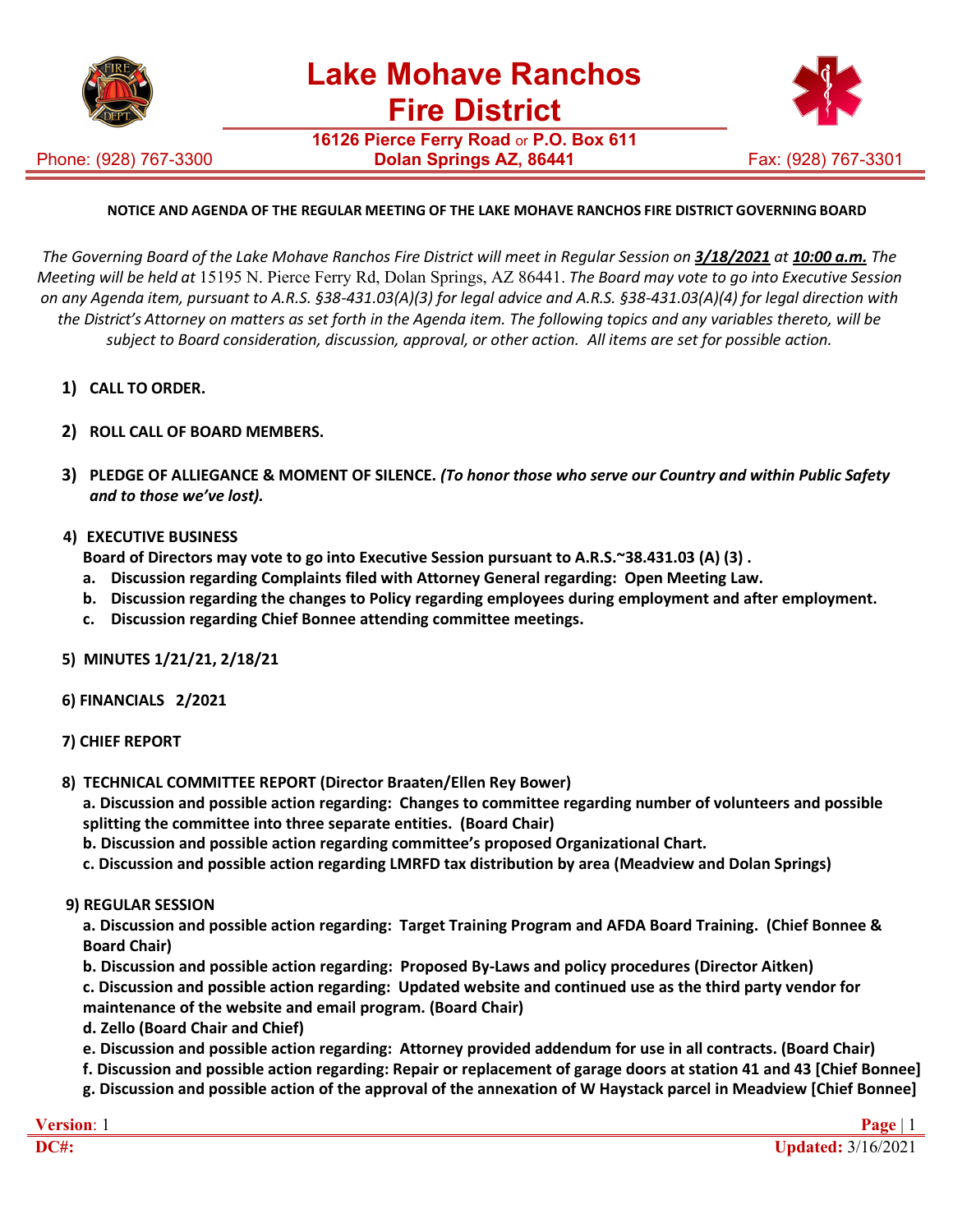

Phone: (928) 767-3300

**16126 Pierce Ferry Road** or **P.O. Box 611 Dolan Springs AZ, 86441** Fax: (928) 767-3301



## **NOTICE AND AGENDA OF THE REGULAR MEETING OF THE LAKE MOHAVE RANCHOS FIRE DISTRICT GOVERNING BOARD**

The Governing Board of the Lake Mohave Ranchos Fire District will meet in Regular Session on 3/18/2021 at 10:00 a.m. The *Meeting will be held at* 15195 N. Pierce Ferry Rd, Dolan Springs, AZ 86441. *The Board may vote to go into Executive Session on any Agenda item, pursuant to A.R.S. §38-431.03(A)(3) for legal advice and A.R.S. §38-431.03(A)(4) for legal direction with the District's Attorney on matters as set forth in the Agenda item. The following topics and any variables thereto, will be subject to Board consideration, discussion, approval, or other action. All items are set for possible action.*

- **1) CALL TO ORDER.**
- **2) ROLL CALL OF BOARD MEMBERS.**
- **3) PLEDGE OF ALLIEGANCE & MOMENT OF SILENCE.** *(To honor those who serve our Country and within Public Safety and to those we've lost).*
- **4) EXECUTIVE BUSINESS**

**Board of Directors may vote to go into Executive Session pursuant to A.R.S.~38.431.03 (A) (3) .**

- **a. Discussion regarding Complaints filed with Attorney General regarding: Open Meeting Law.**
- **b. Discussion regarding the changes to Policy regarding employees during employment and after employment.**
- **c. Discussion regarding Chief Bonnee attending committee meetings.**
- **5) MINUTES 1/21/21, 2/18/21**
- **6) FINANCIALS 2/2021**
- **7) CHIEF REPORT**
- **8) TECHNICAL COMMITTEE REPORT (Director Braaten/Ellen Rey Bower)**

**a. Discussion and possible action regarding: Changes to committee regarding number of volunteers and possible splitting the committee into three separate entities. (Board Chair)**

- **b. Discussion and possible action regarding committee's proposed Organizational Chart.**
- **c. Discussion and possible action regarding LMRFD tax distribution by area (Meadview and Dolan Springs)**
- **9) REGULAR SESSION**

**a. Discussion and possible action regarding: Target Training Program and AFDA Board Training. (Chief Bonnee & Board Chair)**

**b. Discussion and possible action regarding: Proposed By-Laws and policy procedures (Director Aitken)**

**c. Discussion and possible action regarding: Updated website and continued use as the third party vendor for maintenance of the website and email program. (Board Chair)**

- **d. Zello (Board Chair and Chief)**
- **e. Discussion and possible action regarding: Attorney provided addendum for use in all contracts. (Board Chair)**
- **f. Discussion and possible action regarding: Repair or replacement of garage doors at station 41 and 43 [Chief Bonnee] g. Discussion and possible action of the approval of the annexation of W Haystack parcel in Meadview [Chief Bonnee]**